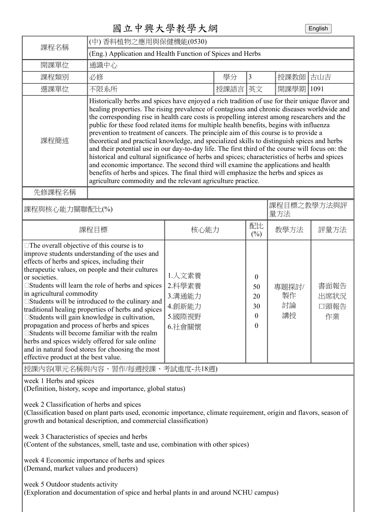## 國立中興大學教學大綱 English

| 課程名稱                                                                                                                                                                                                                                                                                                                                                                                                                                                                                                                                                                                                                                                                                                                                                                 | (中) 香料植物之應用與保健機能(0530)                                                                                                                                                                                                                                                                                                                                                                                                                                                                                                                                                                                                                                                                                                                                                                                                                                                                                                                                                                                                            |                                                          |      |                                                                        |                         |                            |
|----------------------------------------------------------------------------------------------------------------------------------------------------------------------------------------------------------------------------------------------------------------------------------------------------------------------------------------------------------------------------------------------------------------------------------------------------------------------------------------------------------------------------------------------------------------------------------------------------------------------------------------------------------------------------------------------------------------------------------------------------------------------|-----------------------------------------------------------------------------------------------------------------------------------------------------------------------------------------------------------------------------------------------------------------------------------------------------------------------------------------------------------------------------------------------------------------------------------------------------------------------------------------------------------------------------------------------------------------------------------------------------------------------------------------------------------------------------------------------------------------------------------------------------------------------------------------------------------------------------------------------------------------------------------------------------------------------------------------------------------------------------------------------------------------------------------|----------------------------------------------------------|------|------------------------------------------------------------------------|-------------------------|----------------------------|
|                                                                                                                                                                                                                                                                                                                                                                                                                                                                                                                                                                                                                                                                                                                                                                      | (Eng.) Application and Health Function of Spices and Herbs                                                                                                                                                                                                                                                                                                                                                                                                                                                                                                                                                                                                                                                                                                                                                                                                                                                                                                                                                                        |                                                          |      |                                                                        |                         |                            |
| 開課單位                                                                                                                                                                                                                                                                                                                                                                                                                                                                                                                                                                                                                                                                                                                                                                 | 通識中心                                                                                                                                                                                                                                                                                                                                                                                                                                                                                                                                                                                                                                                                                                                                                                                                                                                                                                                                                                                                                              |                                                          |      |                                                                        |                         |                            |
| 課程類別                                                                                                                                                                                                                                                                                                                                                                                                                                                                                                                                                                                                                                                                                                                                                                 | 必修                                                                                                                                                                                                                                                                                                                                                                                                                                                                                                                                                                                                                                                                                                                                                                                                                                                                                                                                                                                                                                |                                                          | 學分   | 3                                                                      | 授課教師                    | 古山吉                        |
| 選課單位                                                                                                                                                                                                                                                                                                                                                                                                                                                                                                                                                                                                                                                                                                                                                                 | 不限系所                                                                                                                                                                                                                                                                                                                                                                                                                                                                                                                                                                                                                                                                                                                                                                                                                                                                                                                                                                                                                              |                                                          | 授課語言 | 英文                                                                     | 開課學期                    | 1091                       |
| 課程簡述                                                                                                                                                                                                                                                                                                                                                                                                                                                                                                                                                                                                                                                                                                                                                                 | Historically herbs and spices have enjoyed a rich tradition of use for their unique flavor and<br>healing properties. The rising prevalence of contagious and chronic diseases worldwide and<br>the corresponding rise in health care costs is propelling interest among researchers and the<br>public for these food related items for multiple health benefits, begins with influenza<br>prevention to treatment of cancers. The principle aim of this course is to provide a<br>theoretical and practical knowledge, and specialized skills to distinguish spices and herbs<br>and their potential use in our day-to-day life. The first third of the course will focus on: the<br>historical and cultural significance of herbs and spices; characteristics of herbs and spices<br>and economic importance. The second third will examine the applications and health<br>benefits of herbs and spices. The final third will emphasize the herbs and spices as<br>agriculture commodity and the relevant agriculture practice. |                                                          |      |                                                                        |                         |                            |
| 先修課程名稱                                                                                                                                                                                                                                                                                                                                                                                                                                                                                                                                                                                                                                                                                                                                                               |                                                                                                                                                                                                                                                                                                                                                                                                                                                                                                                                                                                                                                                                                                                                                                                                                                                                                                                                                                                                                                   |                                                          |      |                                                                        |                         |                            |
| 課程與核心能力關聯配比(%)                                                                                                                                                                                                                                                                                                                                                                                                                                                                                                                                                                                                                                                                                                                                                       | 課程目標之教學方法與評<br>量方法                                                                                                                                                                                                                                                                                                                                                                                                                                                                                                                                                                                                                                                                                                                                                                                                                                                                                                                                                                                                                |                                                          |      |                                                                        |                         |                            |
| 課程目標                                                                                                                                                                                                                                                                                                                                                                                                                                                                                                                                                                                                                                                                                                                                                                 |                                                                                                                                                                                                                                                                                                                                                                                                                                                                                                                                                                                                                                                                                                                                                                                                                                                                                                                                                                                                                                   | 核心能力                                                     |      | 配比<br>$(\%)$                                                           | 教學方法                    | 評量方法                       |
| $\square$ The overall objective of this course is to<br>improve students understanding of the uses and<br>effects of herbs and spices, including their<br>therapeutic values, on people and their cultures<br>or societies.<br>□ Students will learn the role of herbs and spices<br>in agricultural commodity<br>□ Students will be introduced to the culinary and<br>traditional healing properties of herbs and spices<br>Students will gain knowledge in cultivation,<br>propagation and process of herbs and spices<br>$\square$ Students will become familiar with the realm<br>herbs and spices widely offered for sale online<br>and in natural food stores for choosing the most<br>effective product at the best value.<br>授課內容(單元名稱與內容、習作/每週授課、考試進度-共18週) |                                                                                                                                                                                                                                                                                                                                                                                                                                                                                                                                                                                                                                                                                                                                                                                                                                                                                                                                                                                                                                   | 1.人文素養<br>2.科學素養<br>3.溝通能力<br>4.創新能力<br>5.國際視野<br>6.社會關懷 |      | $\mathbf{0}$<br>50<br>20<br>30<br>$\boldsymbol{0}$<br>$\boldsymbol{0}$ | 專題探討/<br>製作<br>討論<br>講授 | 書面報告<br>出席狀況<br>口頭報告<br>作業 |
| week 1 Herbs and spices                                                                                                                                                                                                                                                                                                                                                                                                                                                                                                                                                                                                                                                                                                                                              |                                                                                                                                                                                                                                                                                                                                                                                                                                                                                                                                                                                                                                                                                                                                                                                                                                                                                                                                                                                                                                   |                                                          |      |                                                                        |                         |                            |
| (Definition, history, scope and importance, global status)                                                                                                                                                                                                                                                                                                                                                                                                                                                                                                                                                                                                                                                                                                           |                                                                                                                                                                                                                                                                                                                                                                                                                                                                                                                                                                                                                                                                                                                                                                                                                                                                                                                                                                                                                                   |                                                          |      |                                                                        |                         |                            |

week 2 Classification of herbs and spices

(Classification based on plant parts used, economic importance, climate requirement, origin and flavors, season of growth and botanical description, and commercial classification)

week 3 Characteristics of species and herbs

(Content of the substances, smell, taste and use, combination with other spices)

week 4 Economic importance of herbs and spices (Demand, market values and producers)

week 5 Outdoor students activity (Exploration and documentation of spice and herbal plants in and around NCHU campus)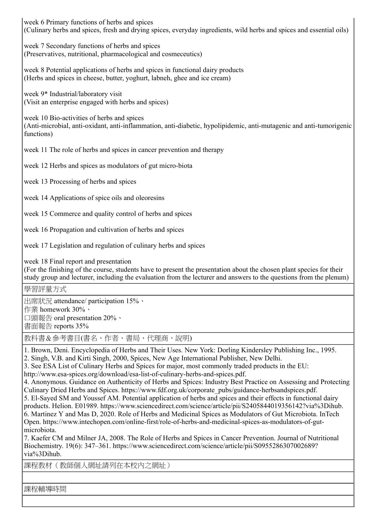week 6 Primary functions of herbs and spices (Culinary herbs and spices, fresh and drying spices, everyday ingredients, wild herbs and spices and essential oils)

week 7 Secondary functions of herbs and spices (Preservatives, nutritional, pharmacological and cosmeceutics)

week 8 Potential applications of herbs and spices in functional dairy products (Herbs and spices in cheese, butter, yoghurt, labneh, ghee and ice cream)

week 9\* Industrial/laboratory visit (Visit an enterprise engaged with herbs and spices)

week 10 Bio-activities of herbs and spices (Anti-microbial, anti-oxidant, anti-inflammation, anti-diabetic, hypolipidemic, anti-mutagenic and anti-tumorigenic functions)

week 11 The role of herbs and spices in cancer prevention and therapy

week 12 Herbs and spices as modulators of gut micro-biota

week 13 Processing of herbs and spices

week 14 Applications of spice oils and oleoresins

week 15 Commerce and quality control of herbs and spices

week 16 Propagation and cultivation of herbs and spices

week 17 Legislation and regulation of culinary herbs and spices

week 18 Final report and presentation

(For the finishing of the course, students have to present the presentation about the chosen plant species for their study group and lecturer, including the evaluation from the lecturer and answers to the questions from the plenum)

## 學習評量方式

出席狀況 attendance/ participation 15%、 作業 homework 30%、 口頭報告 oral presentation 20%、 書面報告 reports 35%

教科書&參考書目(書名、作者、書局、代理商、說明)

1. Brown, Deni. Encyclopedia of Herbs and Their Uses. New York: Dorling Kindersley Publishing Inc., 1995. 2. Singh, V.B. and Kirti Singh, 2000, Spices, New Age International Publisher, New Delhi.

3. See ESA List of Culinary Herbs and Spices for major, most commonly traded products in the EU:

http://www.esa-spices.org/download/esa-list-of-culinary-herbs-and-spices.pdf.

4. Anonymous. Guidance on Authenticity of Herbs and Spices: Industry Best Practice on Assessing and Protecting Culinary Dried Herbs and Spices. https://www.fdf.org.uk/corporate\_pubs/guidance-herbsandspices.pdf. 5. El-Sayed SM and Youssef AM. Potential application of herbs and spices and their effects in functional dairy

products. Helion. E01989. https://www.sciencedirect.com/science/article/pii/S2405844019356142?via%3Dihub. 6. Martinez Y and Mas D, 2020. Role of Herbs and Medicinal Spices as Modulators of Gut Microbiota. InTech Open. https://www.intechopen.com/online-first/role-of-herbs-and-medicinal-spices-as-modulators-of-gutmicrobiota.

7. Kaefer CM and Milner JA, 2008. The Role of Herbs and Spices in Cancer Prevention. Journal of Nutritional Biochemistry. 19(6): 347–361. https://www.sciencedirect.com/science/article/pii/S0955286307002689? via%3Dihub.

課程教材(教師個人網址請列在本校內之網址)

課程輔導時間